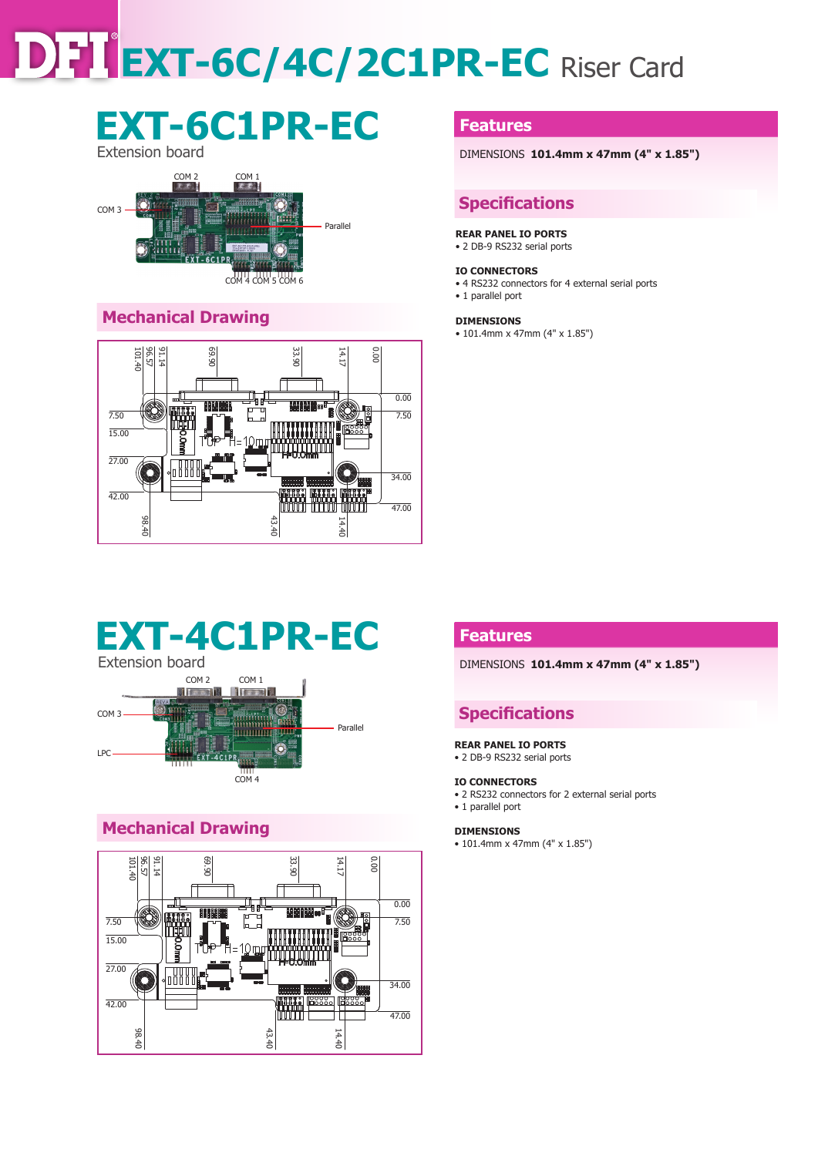# **EXT-6C/4C/2C1PR-EC** Riser Card

## **EXT-6C1PR-EC** Extension board



## **Mechanical Drawing**



### **Features**

DIMENSIONS **101.4mm x 47mm (4" x 1.85")** 

## **Specifications**

#### **REAR PANEL IO PORTS**

• 2 DB-9 RS232 serial ports

#### **IO CONNECTORS**

- 4 RS232 connectors for 4 external serial ports
- 1 parallel port

#### **DIMENSIONS**

• 101.4mm x 47mm (4" x 1.85")

## **EXT-4C1PR-EC**



## **Mechanical Drawing**



## **Features**

DIMENSIONS **101.4mm x 47mm (4" x 1.85")** 

## **Specifications**

#### **REAR PANEL IO PORTS**

• 2 DB-9 RS232 serial ports

#### **IO CONNECTORS**

• 2 RS232 connectors for 2 external serial ports • 1 parallel port

#### **DIMENSIONS**

• 101.4mm x 47mm (4" x 1.85")